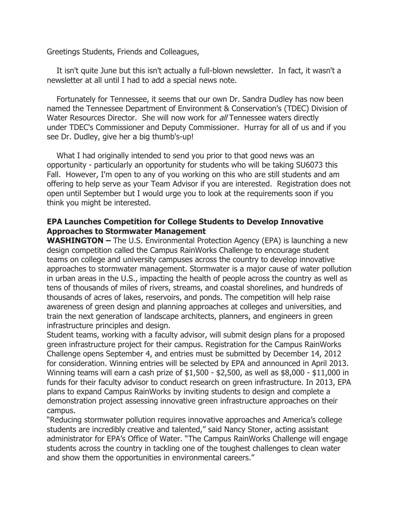Greetings Students, Friends and Colleagues,

 It isn't quite June but this isn't actually a full-blown newsletter. In fact, it wasn't a newsletter at all until I had to add a special news note.

 Fortunately for Tennessee, it seems that our own Dr. Sandra Dudley has now been named the Tennessee Department of Environment & Conservation's (TDEC) Division of Water Resources Director. She will now work for all Tennessee waters directly under TDEC's Commissioner and Deputy Commissioner. Hurray for all of us and if you see Dr. Dudley, give her a big thumb's-up!

What I had originally intended to send you prior to that good news was an opportunity - particularly an opportunity for students who will be taking SU6073 this Fall. However, I'm open to any of you working on this who are still students and am offering to help serve as your Team Advisor if you are interested. Registration does not open until September but I would urge you to look at the requirements soon if you think you might be interested.

## EPA Launches Competition for College Students to Develop Innovative Approaches to Stormwater Management

WASHINGTON – The U.S. Environmental Protection Agency (EPA) is launching a new design competition called the Campus RainWorks Challenge to encourage student teams on college and university campuses across the country to develop innovative approaches to stormwater management. Stormwater is a major cause of water pollution in urban areas in the U.S., impacting the health of people across the country as well as tens of thousands of miles of rivers, streams, and coastal shorelines, and hundreds of thousands of acres of lakes, reservoirs, and ponds. The competition will help raise awareness of green design and planning approaches at colleges and universities, and train the next generation of landscape architects, planners, and engineers in green infrastructure principles and design.

Student teams, working with a faculty advisor, will submit design plans for a proposed green infrastructure project for their campus. Registration for the Campus RainWorks Challenge opens September 4, and entries must be submitted by December 14, 2012 for consideration. Winning entries will be selected by EPA and announced in April 2013. Winning teams will earn a cash prize of \$1,500 - \$2,500, as well as \$8,000 - \$11,000 in funds for their faculty advisor to conduct research on green infrastructure. In 2013, EPA plans to expand Campus RainWorks by inviting students to design and complete a demonstration project assessing innovative green infrastructure approaches on their campus.

"Reducing stormwater pollution requires innovative approaches and America's college students are incredibly creative and talented," said Nancy Stoner, acting assistant administrator for EPA's Office of Water. "The Campus RainWorks Challenge will engage students across the country in tackling one of the toughest challenges to clean water and show them the opportunities in environmental careers."